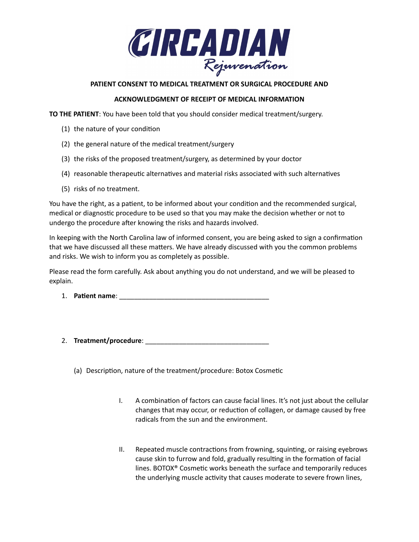

### **PATIENT CONSENT TO MEDICAL TREATMENT OR SURGICAL PROCEDURE AND**

### **ACKNOWLEDGMENT OF RECEIPT OF MEDICAL INFORMATION**

**TO THE PATIENT**: You have been told that you should consider medical treatment/surgery.

- (1) the nature of your condition
- (2) the general nature of the medical treatment/surgery
- (3) the risks of the proposed treatment/surgery, as determined by your doctor
- (4) reasonable therapeutic alternatives and material risks associated with such alternatives
- (5) risks of no treatment.

You have the right, as a patient, to be informed about your condition and the recommended surgical, medical or diagnostic procedure to be used so that you may make the decision whether or not to undergo the procedure after knowing the risks and hazards involved.

In keeping with the North Carolina law of informed consent, you are being asked to sign a confirmation that we have discussed all these matters. We have already discussed with you the common problems and risks. We wish to inform you as completely as possible.

Please read the form carefully. Ask about anything you do not understand, and we will be pleased to explain.

- 1. **Patient name**: \_\_\_\_\_\_\_\_\_\_\_\_\_\_\_\_\_\_\_\_\_\_\_\_\_\_\_\_\_\_\_\_\_\_\_\_\_\_\_\_
- 2. **Treatment/procedure**: \_\_\_\_\_\_\_\_\_\_\_\_\_\_\_\_\_\_\_\_\_\_\_\_\_\_\_\_\_\_\_\_\_
	- (a) Description, nature of the treatment/procedure: Botox Cosmetic
		- I. A combination of factors can cause facial lines. It's not just about the cellular changes that may occur, or reduction of collagen, or damage caused by free radicals from the sun and the environment.
		- II. Repeated muscle contractions from frowning, squinting, or raising eyebrows cause skin to furrow and fold, gradually resulting in the formation of facial lines. BOTOX® Cosmetic works beneath the surface and temporarily reduces the underlying muscle activity that causes moderate to severe frown lines,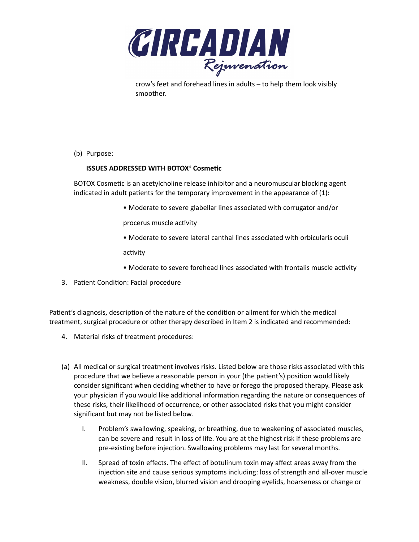

crow's feet and forehead lines in adults – to help them look visibly smoother.

(b) Purpose:

# **ISSUES ADDRESSED WITH BOTOX® Cosmetic**

BOTOX Cosmetic is an acetylcholine release inhibitor and a neuromuscular blocking agent indicated in adult patients for the temporary improvement in the appearance of (1):

• Moderate to severe glabellar lines associated with corrugator and/or

procerus muscle activity

• Moderate to severe lateral canthal lines associated with orbicularis oculi

activity

- Moderate to severe forehead lines associated with frontalis muscle activity
- 3. Patient Condition: Facial procedure

Patient's diagnosis, description of the nature of the condition or ailment for which the medical treatment, surgical procedure or other therapy described in Item 2 is indicated and recommended:

- 4. Material risks of treatment procedures:
- (a) All medical or surgical treatment involves risks. Listed below are those risks associated with this procedure that we believe a reasonable person in your (the patient's) position would likely consider significant when deciding whether to have or forego the proposed therapy. Please ask your physician if you would like additional information regarding the nature or consequences of these risks, their likelihood of occurrence, or other associated risks that you might consider significant but may not be listed below.
	- I. Problem's swallowing, speaking, or breathing, due to weakening of associated muscles, can be severe and result in loss of life. You are at the highest risk if these problems are pre-existing before injection. Swallowing problems may last for several months.
	- II. Spread of toxin effects. The effect of botulinum toxin may affect areas away from the injection site and cause serious symptoms including: loss of strength and all-over muscle weakness, double vision, blurred vision and drooping eyelids, hoarseness or change or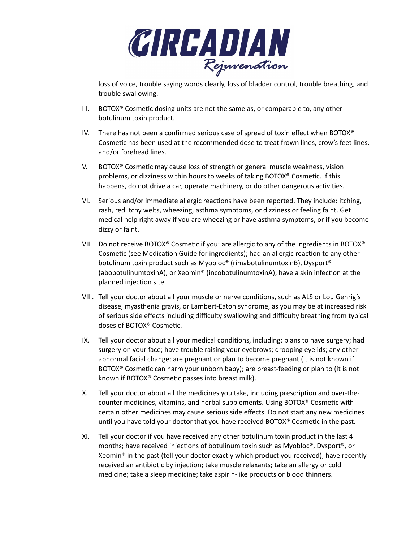

loss of voice, trouble saying words clearly, loss of bladder control, trouble breathing, and trouble swallowing.

- III. BOTOX® Cosmetic dosing units are not the same as, or comparable to, any other botulinum toxin product.
- IV. There has not been a confirmed serious case of spread of toxin effect when BOTOX® Cosmetic has been used at the recommended dose to treat frown lines, crow's feet lines, and/or forehead lines.
- V. BOTOX® Cosmetic may cause loss of strength or general muscle weakness, vision problems, or dizziness within hours to weeks of taking BOTOX® Cosmetic. If this happens, do not drive a car, operate machinery, or do other dangerous activities.
- VI. Serious and/or immediate allergic reactions have been reported. They include: itching, rash, red itchy welts, wheezing, asthma symptoms, or dizziness or feeling faint. Get medical help right away if you are wheezing or have asthma symptoms, or if you become dizzy or faint.
- VII. Do not receive BOTOX® Cosmetic if you: are allergic to any of the ingredients in BOTOX® Cosmetic (see Medication Guide for ingredients); had an allergic reaction to any other botulinum toxin product such as Myobloc® (rimabotulinumtoxinB), Dysport® (abobotulinumtoxinA), or Xeomin® (incobotulinumtoxinA); have a skin infection at the planned injection site.
- VIII. Tell your doctor about all your muscle or nerve conditions, such as ALS or Lou Gehrig's disease, myasthenia gravis, or Lambert-Eaton syndrome, as you may be at increased risk of serious side effects including difficulty swallowing and difficulty breathing from typical doses of BOTOX® Cosmetic.
- IX. Tell your doctor about all your medical conditions, including: plans to have surgery; had surgery on your face; have trouble raising your eyebrows; drooping eyelids; any other abnormal facial change; are pregnant or plan to become pregnant (it is not known if BOTOX® Cosmetic can harm your unborn baby); are breast-feeding or plan to (it is not known if BOTOX® Cosmetic passes into breast milk).
- X. Tell your doctor about all the medicines you take, including prescription and over-thecounter medicines, vitamins, and herbal supplements. Using BOTOX® Cosmetic with certain other medicines may cause serious side effects. Do not start any new medicines until you have told your doctor that you have received BOTOX® Cosmetic in the past.
- XI. Tell your doctor if you have received any other botulinum toxin product in the last 4 months; have received injections of botulinum toxin such as Myobloc®, Dysport®, or Xeomin® in the past (tell your doctor exactly which product you received); have recently received an antibiotic by injection; take muscle relaxants; take an allergy or cold medicine; take a sleep medicine; take aspirin-like products or blood thinners.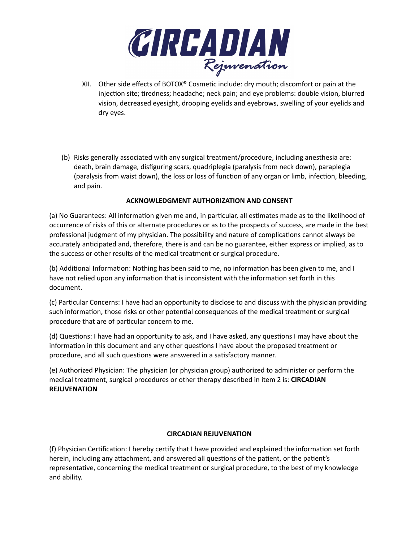

- XII. Other side effects of BOTOX® Cosmetic include: dry mouth; discomfort or pain at the injection site; tiredness; headache; neck pain; and eye problems: double vision, blurred vision, decreased eyesight, drooping eyelids and eyebrows, swelling of your eyelids and dry eyes.
- (b) Risks generally associated with any surgical treatment/procedure, including anesthesia are: death, brain damage, disfiguring scars, quadriplegia (paralysis from neck down), paraplegia (paralysis from waist down), the loss or loss of function of any organ or limb, infection, bleeding, and pain.

# **ACKNOWLEDGMENT AUTHORIZATION AND CONSENT**

(a) No Guarantees: All information given me and, in particular, all estimates made as to the likelihood of occurrence of risks of this or alternate procedures or as to the prospects of success, are made in the best professional judgment of my physician. The possibility and nature of complications cannot always be accurately anticipated and, therefore, there is and can be no guarantee, either express or implied, as to the success or other results of the medical treatment or surgical procedure.

(b) Additional Information: Nothing has been said to me, no information has been given to me, and I have not relied upon any information that is inconsistent with the information set forth in this document.

(c) Particular Concerns: I have had an opportunity to disclose to and discuss with the physician providing such information, those risks or other potential consequences of the medical treatment or surgical procedure that are of particular concern to me.

(d) Questions: I have had an opportunity to ask, and I have asked, any questions I may have about the information in this document and any other questions I have about the proposed treatment or procedure, and all such questions were answered in a satisfactory manner.

(e) Authorized Physician: The physician (or physician group) authorized to administer or perform the medical treatment, surgical procedures or other therapy described in item 2 is: **CIRCADIAN REJUVENATION**

#### **CIRCADIAN REJUVENATION**

(f) Physician Certification: I hereby certify that I have provided and explained the information set forth herein, including any attachment, and answered all questions of the patient, or the patient's representative, concerning the medical treatment or surgical procedure, to the best of my knowledge and ability.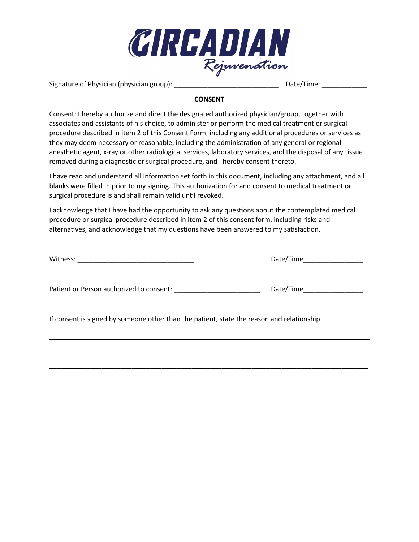

Signature of Physician (physician group): \_\_\_\_\_\_\_\_\_\_\_\_\_\_\_\_\_\_\_\_\_\_\_\_\_\_\_\_ Date/Time: \_\_\_\_\_\_\_\_\_\_\_\_

## **CONSENT**

Consent: I hereby authorize and direct the designated authorized physician/group, together with associates and assistants of his choice, to administer or perform the medical treatment or surgical procedure described in item 2 of this Consent Form, including any additional procedures or services as they may deem necessary or reasonable, including the administration of any general or regional anesthetic agent, x-ray or other radiological services, laboratory services, and the disposal of any tissue removed during a diagnostic or surgical procedure, and I hereby consent thereto.

I have read and understand all information set forth in this document, including any attachment, and all blanks were filled in prior to my signing. This authorization for and consent to medical treatment or surgical procedure is and shall remain valid until revoked.

I acknowledge that I have had the opportunity to ask any questions about the contemplated medical procedure or surgical procedure described in item 2 of this consent form, including risks and alternatives, and acknowledge that my questions have been answered to my satisfaction.

| Witness: |  |  |  |
|----------|--|--|--|
|          |  |  |  |

Witness: \_\_\_\_\_\_\_\_\_\_\_\_\_\_\_\_\_\_\_\_\_\_\_\_\_\_\_\_\_\_\_ Date/Time\_\_\_\_\_\_\_\_\_\_\_\_\_\_\_\_

Patient or Person authorized to consent: \_\_\_\_\_\_\_\_\_\_\_\_\_\_\_\_\_\_\_\_\_\_\_ Date/Time\_\_\_\_\_\_\_\_\_\_\_\_\_\_\_\_

If consent is signed by someone other than the patient, state the reason and relationship:

**\_\_\_\_\_\_\_\_\_\_\_\_\_\_\_\_\_\_\_\_\_\_\_\_\_\_\_\_\_\_\_\_\_\_\_\_\_\_\_\_\_\_\_\_\_\_\_\_\_\_\_\_\_\_\_\_\_\_\_\_\_\_\_\_\_\_\_\_\_\_\_\_\_\_\_\_\_\_\_\_\_\_\_\_\_**